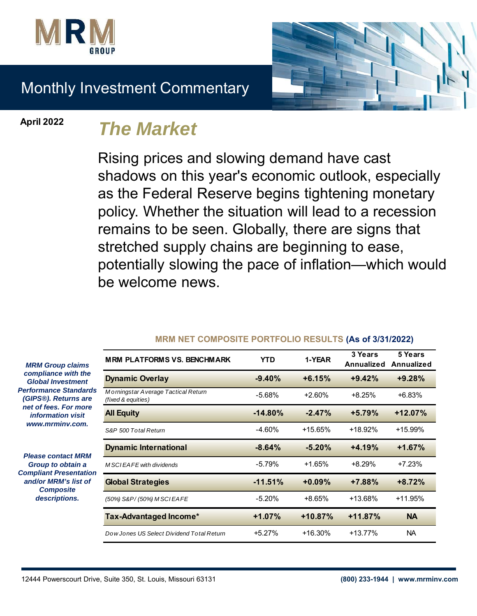

# Monthly Investment Commentary

**April 2022**

# *The Market*

Rising prices and slowing demand have cast shadows on this year's economic outlook, especially as the Federal Reserve begins tightening monetary policy. Whether the situation will lead to a recession remains to be seen. Globally, there are signs that stretched supply chains are beginning to ease, potentially slowing the pace of inflation—which would be welcome news.

| <b>MRM PLATFORMS VS. BENCHMARK</b>                        | YTD       | 1-YEAR    | 3 Years<br>Annualized | 5 Years<br>Annualized |
|-----------------------------------------------------------|-----------|-----------|-----------------------|-----------------------|
| <b>Dynamic Overlay</b>                                    | $-9.40%$  | $+6.15%$  | $+9.42%$              | $+9.28%$              |
| Morningstar Average Tactical Return<br>(fixed & equities) | $-5.68%$  | $+2.60%$  | $+8.25%$              | $+6.83%$              |
| <b>All Equity</b>                                         | $-14.80%$ | $-2.47%$  | $+5.79%$              | $+12.07%$             |
| S&P 500 Total Return                                      | $-4.60\%$ | $+15.65%$ | +18.92%               | +15.99%               |
| <b>Dynamic International</b>                              | $-8.64%$  | $-5.20%$  | $+4.19%$              | $+1.67%$              |
| M SCIEAFE with dividends                                  | $-5.79%$  | $+1.65%$  | $+8.29%$              | $+7.23%$              |
| <b>Global Strategies</b>                                  | $-11.51%$ | $+0.09%$  | $+7.88%$              | $+8.72%$              |
| (50%) S&P/(50%) M SCIEA FE                                | $-5.20%$  | +8.65%    | +13.68%               | $+11.95%$             |
| <b>Tax-Advantaged Income*</b>                             | $+1.07%$  | $+10.87%$ | $+11.87%$             | <b>NA</b>             |
| Dow Jones US Select Dividend Total Return                 | $+5.27%$  | +16.30%   | $+13.77%$             | NA.                   |

#### **MRM NET COMPOSITE PORTFOLIO RESULTS (As of 3/31/2022)**

*MRM Group claims compliance with the Global Investment Performance Standards (GIPS®). Returns are net of fees. For more information visit www.mrminv.com.*

*Please contact MRM Group to obtain a Compliant Presentation and/or MRM's list of Composite descriptions.*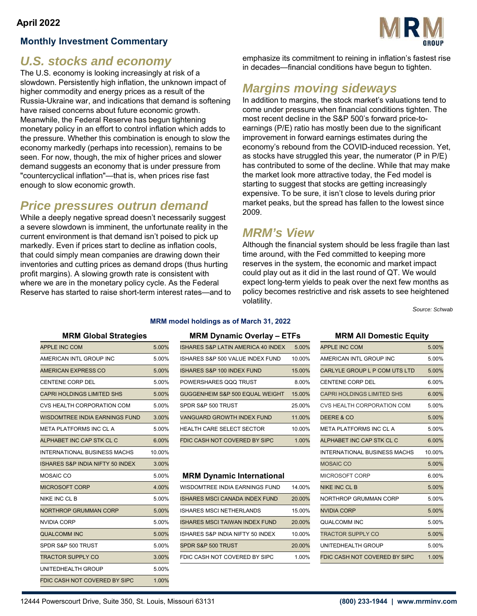## **Monthly Investment Commentary**



# *U.S. stocks and economy*

The U.S. economy is looking increasingly at risk of a slowdown. Persistently high inflation, the unknown impact of higher commodity and energy prices as a result of the Russia-Ukraine war, and indications that demand is softening have raised concerns about future economic growth. Meanwhile, the Federal Reserve has begun tightening monetary policy in an effort to control inflation which adds to the pressure. Whether this combination is enough to slow the economy markedly (perhaps into recession), remains to be seen. For now, though, the mix of higher prices and slower demand suggests an economy that is under pressure from "countercyclical inflation"—that is, when prices rise fast enough to slow economic growth.

# *Price pressures outrun demand*

While a deeply negative spread doesn't necessarily suggest a severe slowdown is imminent, the unfortunate reality in the current environment is that demand isn't poised to pick up markedly. Even if prices start to decline as inflation cools, that could simply mean companies are drawing down their inventories and cutting prices as demand drops (thus hurting profit margins). A slowing growth rate is consistent with where we are in the monetary policy cycle. As the Federal Reserve has started to raise short-term interest rates—and to

emphasize its commitment to reining in inflation's fastest rise in decades—financial conditions have begun to tighten.

# *Margins moving sideways*

In addition to margins, the stock market's valuations tend to come under pressure when financial conditions tighten. The most recent decline in the S&P 500's forward price-toearnings (P/E) ratio has mostly been due to the significant improvement in forward earnings estimates during the economy's rebound from the COVID-induced recession. Yet, as stocks have struggled this year, the numerator (P in P/E) has contributed to some of the decline. While that may make the market look more attractive today, the Fed model is starting to suggest that stocks are getting increasingly expensive. To be sure, it isn't close to levels during prior market peaks, but the spread has fallen to the lowest since 2009.

# *MRM's View*

Although the financial system should be less fragile than last time around, with the Fed committed to keeping more reserves in the system, the economic and market impact could play out as it did in the last round of QT. We would expect long-term yields to peak over the next few months as policy becomes restrictive and risk assets to see heightened volatility.

*Source: Schwab*

### **MRM Global Strategies MRM Dynamic Overlay – ETFs MRM All Domestic Equity**

| <b>APPLE INC COM</b>                        | 5.00%  | ISHARES S&P LATIN AMERICA 40 INDEX    | 5.00%  | <b>APPLE INC COM</b>                | 5.00%  |
|---------------------------------------------|--------|---------------------------------------|--------|-------------------------------------|--------|
| AMERICAN INTL GROUP INC                     | 5.00%  | ISHARES S&P 500 VALUE INDEX FUND      | 10.00% | AMERICAN INTL GROUP INC             | 5.00%  |
| <b>AMERICAN EXPRESS CO</b>                  | 5.00%  | ISHARES S&P 100 INDEX FUND            | 15.00% | CARLYLE GROUP L P COM UTS LTD       | 5.00%  |
| <b>CENTENE CORP DEL</b>                     | 5.00%  | POWERSHARES QQQ TRUST                 | 8.00%  | <b>CENTENE CORP DEL</b>             | 6.00%  |
| <b>CAPRI HOLDINGS LIMITED SHS</b>           | 5.00%  | GUGGENHEIM S&P 500 EQUAL WEIGHT       | 15.00% | <b>CAPRI HOLDINGS LIMITED SHS</b>   | 6.00%  |
| CVS HEALTH CORPORATION COM                  | 5.00%  | SPDR S&P 500 TRUST                    | 25.00% | CVS HEALTH CORPORATION COM          | 5.00%  |
| <b>WISDOMTREE INDIA EARNINGS FUND</b>       | 3.00%  | <b>VANGUARD GROWTH INDEX FUND</b>     | 11.00% | <b>DEERE &amp; CO</b>               | 5.00%  |
| META PLATFORMS INC CL A                     | 5.00%  | HEALTH CARE SELECT SECTOR             | 10.00% | META PLATFORMS INC CL A             | 5.00%  |
| ALPHABET INC CAP STK CL C                   | 6.00%  | FDIC CASH NOT COVERED BY SIPC         | 1.00%  | ALPHABET INC CAP STK CL C           | 6.00%  |
| <b>INTERNATIONAL BUSINESS MACHS</b>         | 10.00% |                                       |        | <b>INTERNATIONAL BUSINESS MACHS</b> | 10.00% |
| <b>ISHARES S&amp;P INDIA NIFTY 50 INDEX</b> | 3.00%  |                                       |        | <b>MOSAIC CO</b>                    | 5.00%  |
| MOSAIC CO                                   | 5.00%  | <b>MRM Dynamic International</b>      |        | MICROSOFT CORP                      | 6.00%  |
| <b>MICROSOFT CORP</b>                       | 4.00%  | WISDOMTREE INDIA EARNINGS FUND        | 14.00% | <b>NIKE INC CL B</b>                | 5.00%  |
| NIKE INC CL B                               | 5.00%  | <b>ISHARES MSCI CANADA INDEX FUND</b> | 20.00% | NORTHROP GRUMMAN CORP               | 5.00%  |
| <b>NORTHROP GRUMMAN CORP</b>                | 5.00%  | ISHARES MSCI NETHERLANDS              | 15.00% | <b>NVIDIA CORP</b>                  | 5.00%  |
| <b>NVIDIA CORP</b>                          | 5.00%  | <b>ISHARES MSCI TAIWAN INDEX FUND</b> | 20.00% | QUALCOMM INC                        | 5.00%  |
| <b>QUALCOMM INC</b>                         | 5.00%  | ISHARES S&P INDIA NIFTY 50 INDEX      | 10.00% | <b>TRACTOR SUPPLY CO</b>            | 5.00%  |
| SPDR S&P 500 TRUST                          | 5.00%  | SPDR S&P 500 TRUST                    | 20.00% | UNITEDHEALTH GROUP                  | 5.00%  |
| <b>TRACTOR SUPPLY CO</b>                    | 3.00%  | FDIC CASH NOT COVERED BY SIPC         | 1.00%  | FDIC CASH NOT COVERED BY SIPC       | 1.00%  |
| UNITEDHEALTH GROUP                          | 5.00%  |                                       |        |                                     |        |
| FDIC CASH NOT COVERED BY SIPC               | 1.00%  |                                       |        |                                     |        |
|                                             |        |                                       |        |                                     |        |

## **MRM model holdings as of March 31, 2022**

| <b>MRM GIODAL Strategies</b>      |       | $M$ KM Dynamic Overlay $-$ ETFS       |        | <b>MRM All DOMESTIC EQUITY</b>    |       |
|-----------------------------------|-------|---------------------------------------|--------|-----------------------------------|-------|
| APPLE INC COM                     | 5.00% | ISHARES S&P LATIN AMERICA 40 INDEX    | 5.00%  | <b>APPLE INC COM</b>              | 5.00% |
| AMERICAN INTL GROUP INC           | 5.00% | ISHARES S&P 500 VALUE INDEX FUND      | 10.00% | AMERICAN INTL GROUP INC           | 5.00% |
| AMERICAN EXPRESS CO               | 5.00% | <b>ISHARES S&amp;P 100 INDEX FUND</b> | 15.00% | CARLYLE GROUP L P COM UTS LTD     | 5.00% |
| CENTENE CORP DEL                  | 5.00% | POWERSHARES QQQ TRUST                 | 8.00%  | <b>CENTENE CORP DEL</b>           | 6.00% |
| <b>CAPRI HOLDINGS LIMITED SHS</b> | 5.00% | GUGGENHEIM S&P 500 EQUAL WEIGHT       | 15.00% | <b>CAPRI HOLDINGS LIMITED SHS</b> | 6.00% |
| CVS HEALTH CORPORATION COM        | 5.00% | SPDR S&P 500 TRUST                    | 25.00% | CVS HEALTH CORPORATION COM        | 5.00% |
| WISDOMTREE INDIA EARNINGS FUND    | 3.00% | <b>VANGUARD GROWTH INDEX FUND</b>     | 11.00% | DEERE & CO                        | 5.00% |
| META PLATFORMS INC CL A           | 5.00% | <b>HEALTH CARE SELECT SECTOR</b>      | 10.00% | META PLATFORMS INC CL A           | 5.00% |
| ALPHABET INC CAP STK CL C         | 6.00% | FDIC CASH NOT COVERED BY SIPC         | 1.00%  | ALPHABET INC CAP STK CL C         | 6.00% |
|                                   |       |                                       |        |                                   |       |

#### **MRM Dynamic International**

| MICROSOFT CORP        | 4.00% | WISDOMTREE INDIA EARNINGS FUND        | 14.00% | NIKE INC CL B                 | 5.00% |
|-----------------------|-------|---------------------------------------|--------|-------------------------------|-------|
| NIKE INC CL B         | 5.00% | <b>ISHARES MSCI CANADA INDEX FUND</b> | 20.00% | NORTHROP GRUMMAN CORP         | 5.00% |
| NORTHROP GRUMMAN CORP | 5.00% | ISHARES MSCI NETHERLANDS              | 15.00% | NVIDIA CORP                   | 5.00% |
| NVIDIA CORP           | 5.00% | <b>ISHARES MSCI TAIWAN INDEX FUND</b> | 20.00% | QUALCOMM INC                  | 5.00% |
| QUALCOMM INC          | 5.00% | ISHARES S&P INDIA NIFTY 50 INDEX      | 10.00% | <b>TRACTOR SUPPLY CO</b>      | 5.00% |
| SPDR S&P 500 TRUST    | 5.00% | SPDR S&P 500 TRUST                    | 20.00% | UNITEDHEALTH GROUP            | 5.00% |
| TRACTOR SUPPLY CO     | 3.00% | FDIC CASH NOT COVERED BY SIPC         | 1.00%  | FDIC CASH NOT COVERED BY SIPC | 1.00% |

| <b>APPLE INC COM</b>              | 5.00%  |
|-----------------------------------|--------|
| AMERICAN INTL GROUP INC           | 5.00%  |
| CARLYLE GROUP L P COM UTS LTD     | 5.00%  |
| <b>CENTENE CORP DEL</b>           | 6.00%  |
| <b>CAPRI HOLDINGS LIMITED SHS</b> | 6.00%  |
| CVS HEALTH CORPORATION COM        | 5.00%  |
| DEERE & CO                        | 5.00%  |
| META PLATFORMS INC CL A           | 5.00%  |
| ALPHABET INC CAP STK CL C         | 6.00%  |
| INTERNATIONAL BUSINESS MACHS      | 10.00% |
| <b>MOSAIC CO</b>                  | 5.00%  |
| MICROSOFT CORP                    | 6.00%  |
| NIKE INC CL B                     | 5.00%  |
| NORTHROP GRUMMAN CORP             | 5.00%  |
| NVIDIA CORP                       | 5.00%  |
| QUALCOMM INC                      | 5.00%  |
| <b>TRACTOR SUPPLY CO</b>          | 5.00%  |
| UNITEDHEALTH GROUP                | 5.00%  |
| FDIC CASH NOT COVERED BY SIPC     | 1.00%  |